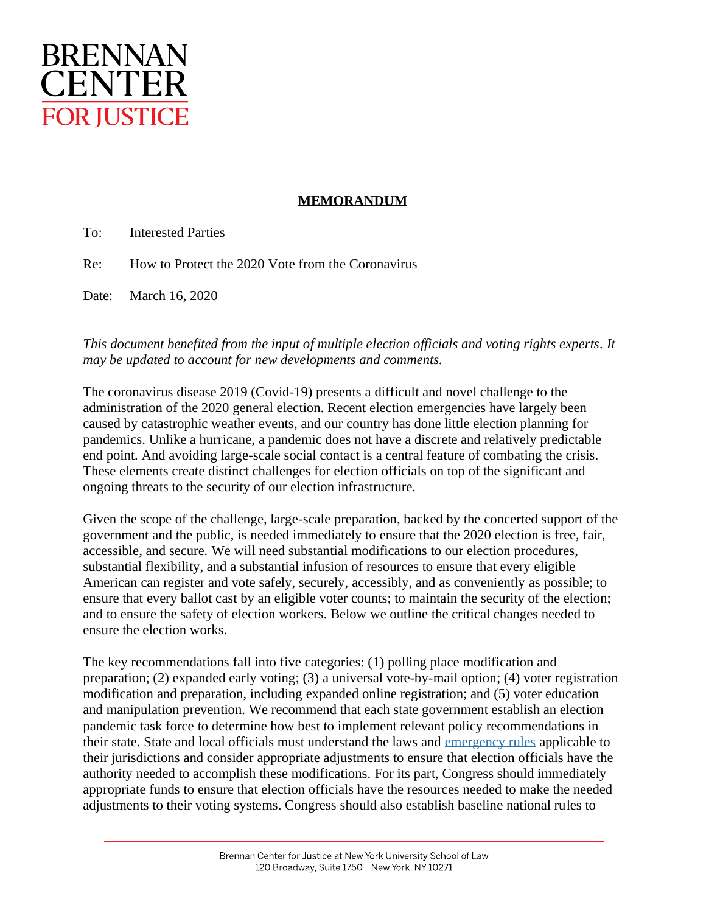

## **MEMORANDUM**

To: Interested Parties

Re: How to Protect the 2020 Vote from the Coronavirus

Date: March 16, 2020

## *This document benefited from the input of multiple election officials and voting rights experts. It may be updated to account for new developments and comments.*

The coronavirus disease 2019 (Covid-19) presents a difficult and novel challenge to the administration of the 2020 general election. Recent election emergencies have largely been caused by catastrophic weather events, and our country has done little election planning for pandemics. Unlike a hurricane, a pandemic does not have a discrete and relatively predictable end point. And avoiding large-scale social contact is a central feature of combating the crisis. These elements create distinct challenges for election officials on top of the significant and ongoing threats to the security of our election infrastructure.

Given the scope of the challenge, large-scale preparation, backed by the concerted support of the government and the public, is needed immediately to ensure that the 2020 election is free, fair, accessible, and secure. We will need substantial modifications to our election procedures, substantial flexibility, and a substantial infusion of resources to ensure that every eligible American can register and vote safely, securely, accessibly, and as conveniently as possible; to ensure that every ballot cast by an eligible voter counts; to maintain the security of the election; and to ensure the safety of election workers. Below we outline the critical changes needed to ensure the election works.

The key recommendations fall into five categories: (1) polling place modification and preparation; (2) expanded early voting; (3) a universal vote-by-mail option; (4) voter registration modification and preparation, including expanded online registration; and (5) voter education and manipulation prevention. We recommend that each state government establish an election pandemic task force to determine how best to implement relevant policy recommendations in their state. State and local officials must understand the laws and [emergency rules](https://www.nass.org/sites/default/files/Election%20Cybersecurity/report-NASS-emergency-preparedness-elections-apr2017.pdf) applicable to their jurisdictions and consider appropriate adjustments to ensure that election officials have the authority needed to accomplish these modifications. For its part, Congress should immediately appropriate funds to ensure that election officials have the resources needed to make the needed adjustments to their voting systems. Congress should also establish baseline national rules to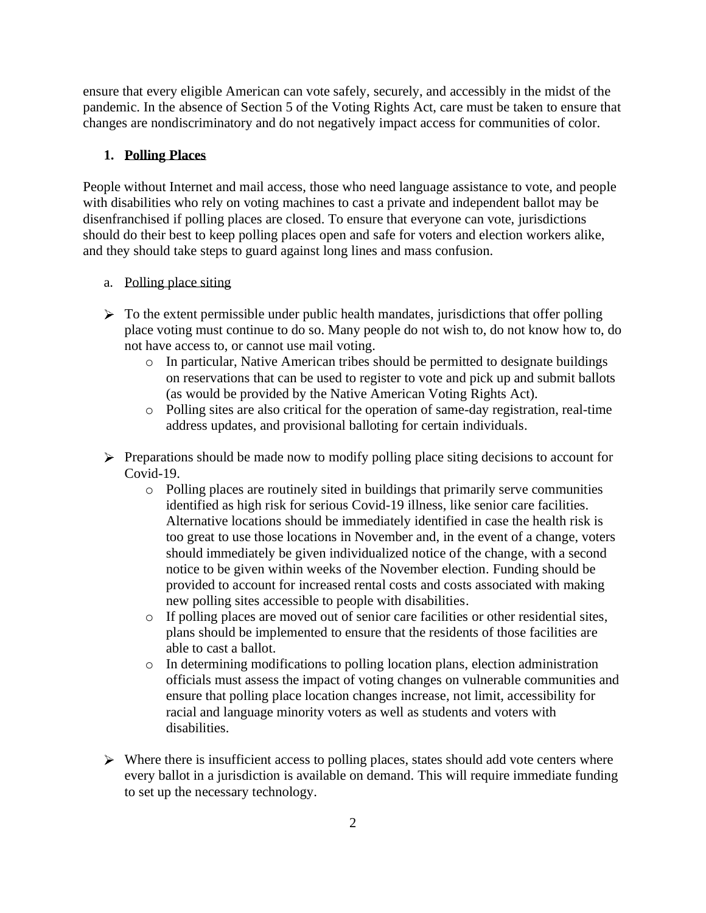ensure that every eligible American can vote safely, securely, and accessibly in the midst of the pandemic. In the absence of Section 5 of the Voting Rights Act, care must be taken to ensure that changes are nondiscriminatory and do not negatively impact access for communities of color.

#### **1. Polling Places**

People without Internet and mail access, those who need language assistance to vote, and people with disabilities who rely on voting machines to cast a private and independent ballot may be disenfranchised if polling places are closed. To ensure that everyone can vote, jurisdictions should do their best to keep polling places open and safe for voters and election workers alike, and they should take steps to guard against long lines and mass confusion.

## a. Polling place siting

- $\triangleright$  To the extent permissible under public health mandates, jurisdictions that offer polling place voting must continue to do so. Many people do not wish to, do not know how to, do not have access to, or cannot use mail voting.
	- o In particular, Native American tribes should be permitted to designate buildings on reservations that can be used to register to vote and pick up and submit ballots (as would be provided by the Native American Voting Rights Act).
	- o Polling sites are also critical for the operation of same-day registration, real-time address updates, and provisional balloting for certain individuals.
- $\triangleright$  Preparations should be made now to modify polling place siting decisions to account for Covid-19.
	- o Polling places are routinely sited in buildings that primarily serve communities identified as high risk for serious Covid-19 illness, like senior care facilities. Alternative locations should be immediately identified in case the health risk is too great to use those locations in November and, in the event of a change, voters should immediately be given individualized notice of the change, with a second notice to be given within weeks of the November election. Funding should be provided to account for increased rental costs and costs associated with making new polling sites accessible to people with disabilities.
	- o If polling places are moved out of senior care facilities or other residential sites, plans should be implemented to ensure that the residents of those facilities are able to cast a ballot.
	- o In determining modifications to polling location plans, election administration officials must assess the impact of voting changes on vulnerable communities and ensure that polling place location changes increase, not limit, accessibility for racial and language minority voters as well as students and voters with disabilities.
- $\triangleright$  Where there is insufficient access to polling places, states should add vote centers where every ballot in a jurisdiction is available on demand. This will require immediate funding to set up the necessary technology.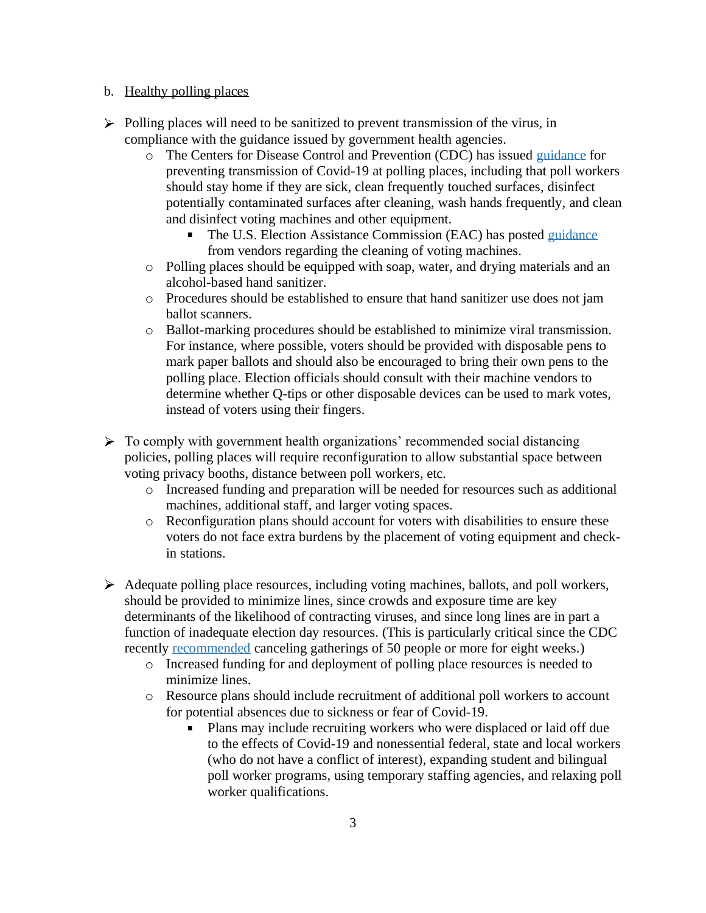#### b. Healthy polling places

- $\triangleright$  Polling places will need to be sanitized to prevent transmission of the virus, in compliance with the guidance issued by government health agencies.
	- o The Centers for Disease Control and Prevention (CDC) has issued [guidance](https://www.cdc.gov/coronavirus/2019-ncov/community/election-polling-locations.html) for preventing transmission of Covid-19 at polling places, including that poll workers should stay home if they are sick, clean frequently touched surfaces, disinfect potentially contaminated surfaces after cleaning, wash hands frequently, and clean and disinfect voting machines and other equipment.
		- $\blacksquare$ The U.S. Election Assistance Commission (EAC) has posted [guidance](https://www.eac.gov/election-officials/coronavirus-covid-19-resources) from vendors regarding the cleaning of voting machines.
	- o Polling places should be equipped with soap, water, and drying materials and an alcohol-based hand sanitizer.
	- o Procedures should be established to ensure that hand sanitizer use does not jam ballot scanners.
	- o Ballot-marking procedures should be established to minimize viral transmission. For instance, where possible, voters should be provided with disposable pens to mark paper ballots and should also be encouraged to bring their own pens to the polling place. Election officials should consult with their machine vendors to determine whether Q-tips or other disposable devices can be used to mark votes, instead of voters using their fingers.
- $\triangleright$  To comply with government health organizations' recommended social distancing policies, polling places will require reconfiguration to allow substantial space between voting privacy booths, distance between poll workers, etc.
	- o Increased funding and preparation will be needed for resources such as additional machines, additional staff, and larger voting spaces.
	- o Reconfiguration plans should account for voters with disabilities to ensure these voters do not face extra burdens by the placement of voting equipment and checkin stations.
- $\triangleright$  Adequate polling place resources, including voting machines, ballots, and poll workers, should be provided to minimize lines, since crowds and exposure time are key determinants of the likelihood of contracting viruses, and since long lines are in part a function of inadequate election day resources. (This is particularly critical since the CDC recently [recommended](https://www.cdc.gov/coronavirus/2019-ncov/community/large-events/mass-gatherings-ready-for-covid-19.html) canceling gatherings of 50 people or more for eight weeks.)
	- o Increased funding for and deployment of polling place resources is needed to minimize lines.
	- o Resource plans should include recruitment of additional poll workers to account for potential absences due to sickness or fear of Covid-19.
		- Plans may include recruiting workers who were displaced or laid off due  $\blacksquare$ to the effects of Covid-19 and nonessential federal, state and local workers (who do not have a conflict of interest), expanding student and bilingual poll worker programs, using temporary staffing agencies, and relaxing poll worker qualifications.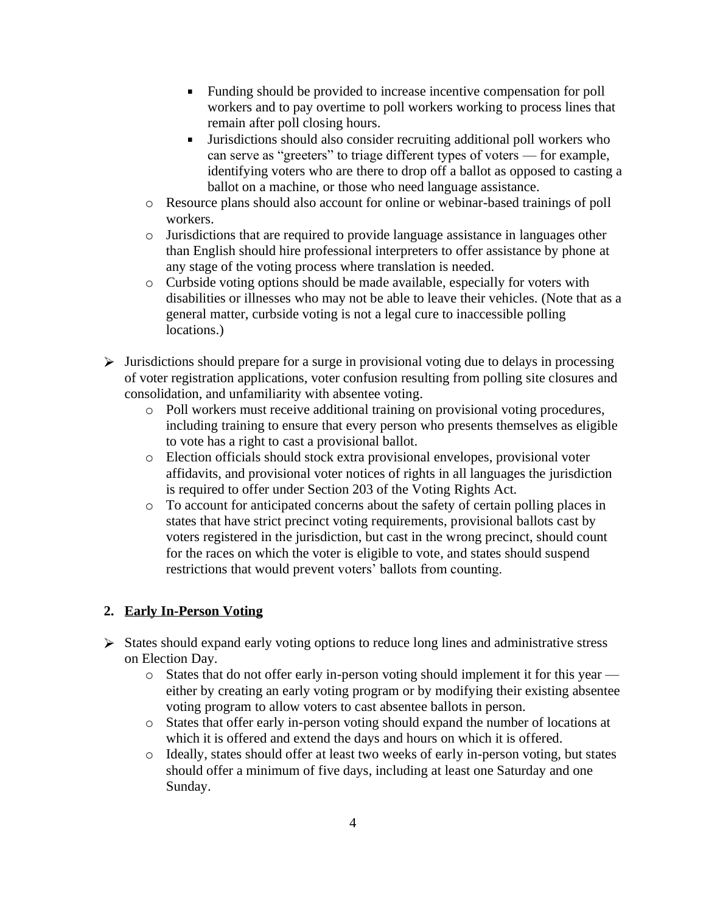- Funding should be provided to increase incentive compensation for poll workers and to pay overtime to poll workers working to process lines that remain after poll closing hours.
- $\mathbf{u}$ Jurisdictions should also consider recruiting additional poll workers who can serve as "greeters" to triage different types of voters — for example, identifying voters who are there to drop off a ballot as opposed to casting a ballot on a machine, or those who need language assistance.
- o Resource plans should also account for online or webinar-based trainings of poll workers.
- o Jurisdictions that are required to provide language assistance in languages other than English should hire professional interpreters to offer assistance by phone at any stage of the voting process where translation is needed.
- o Curbside voting options should be made available, especially for voters with disabilities or illnesses who may not be able to leave their vehicles. (Note that as a general matter, curbside voting is not a legal cure to inaccessible polling locations.)
- $\triangleright$  Jurisdictions should prepare for a surge in provisional voting due to delays in processing of voter registration applications, voter confusion resulting from polling site closures and consolidation, and unfamiliarity with absentee voting.
	- o Poll workers must receive additional training on provisional voting procedures, including training to ensure that every person who presents themselves as eligible to vote has a right to cast a provisional ballot.
	- o Election officials should stock extra provisional envelopes, provisional voter affidavits, and provisional voter notices of rights in all languages the jurisdiction is required to offer under Section 203 of the Voting Rights Act.
	- o To account for anticipated concerns about the safety of certain polling places in states that have strict precinct voting requirements, provisional ballots cast by voters registered in the jurisdiction, but cast in the wrong precinct, should count for the races on which the voter is eligible to vote, and states should suspend restrictions that would prevent voters' ballots from counting.

# **2. Early In-Person Voting**

- $\triangleright$  States should expand early voting options to reduce long lines and administrative stress on Election Day.
	- $\circ$  States that do not offer early in-person voting should implement it for this year either by creating an early voting program or by modifying their existing absentee voting program to allow voters to cast absentee ballots in person.
	- o States that offer early in-person voting should expand the number of locations at which it is offered and extend the days and hours on which it is offered.
	- o Ideally, states should offer at least two weeks of early in-person voting, but states should offer a minimum of five days, including at least one Saturday and one Sunday.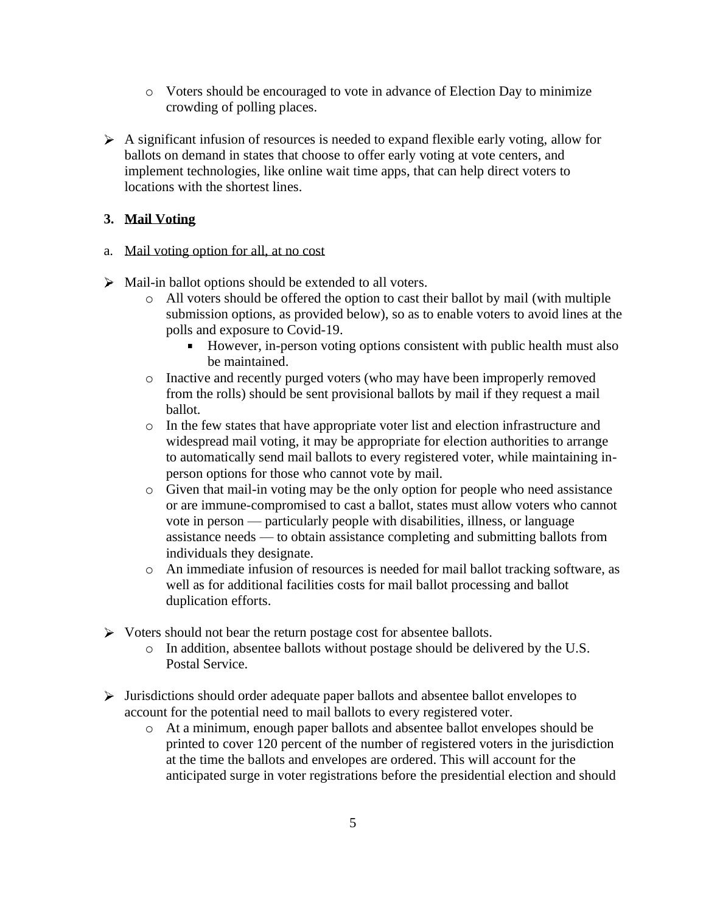- o Voters should be encouraged to vote in advance of Election Day to minimize crowding of polling places.
- $\triangleright$  A significant infusion of resources is needed to expand flexible early voting, allow for ballots on demand in states that choose to offer early voting at vote centers, and implement technologies, like online wait time apps, that can help direct voters to locations with the shortest lines.

## **3. Mail Voting**

- a. Mail voting option for all, at no cost
- $\triangleright$  Mail-in ballot options should be extended to all voters.
	- o All voters should be offered the option to cast their ballot by mail (with multiple submission options, as provided below), so as to enable voters to avoid lines at the polls and exposure to Covid-19.
		- However, in-person voting options consistent with public health must also be maintained.
	- o Inactive and recently purged voters (who may have been improperly removed from the rolls) should be sent provisional ballots by mail if they request a mail ballot.
	- o In the few states that have appropriate voter list and election infrastructure and widespread mail voting, it may be appropriate for election authorities to arrange to automatically send mail ballots to every registered voter, while maintaining inperson options for those who cannot vote by mail.
	- o Given that mail-in voting may be the only option for people who need assistance or are immune-compromised to cast a ballot, states must allow voters who cannot vote in person — particularly people with disabilities, illness, or language assistance needs — to obtain assistance completing and submitting ballots from individuals they designate.
	- o An immediate infusion of resources is needed for mail ballot tracking software, as well as for additional facilities costs for mail ballot processing and ballot duplication efforts.
- $\triangleright$  Voters should not bear the return postage cost for absentee ballots.
	- o In addition, absentee ballots without postage should be delivered by the U.S. Postal Service.
- $\triangleright$  Jurisdictions should order adequate paper ballots and absentee ballot envelopes to account for the potential need to mail ballots to every registered voter.
	- o At a minimum, enough paper ballots and absentee ballot envelopes should be printed to cover 120 percent of the number of registered voters in the jurisdiction at the time the ballots and envelopes are ordered. This will account for the anticipated surge in voter registrations before the presidential election and should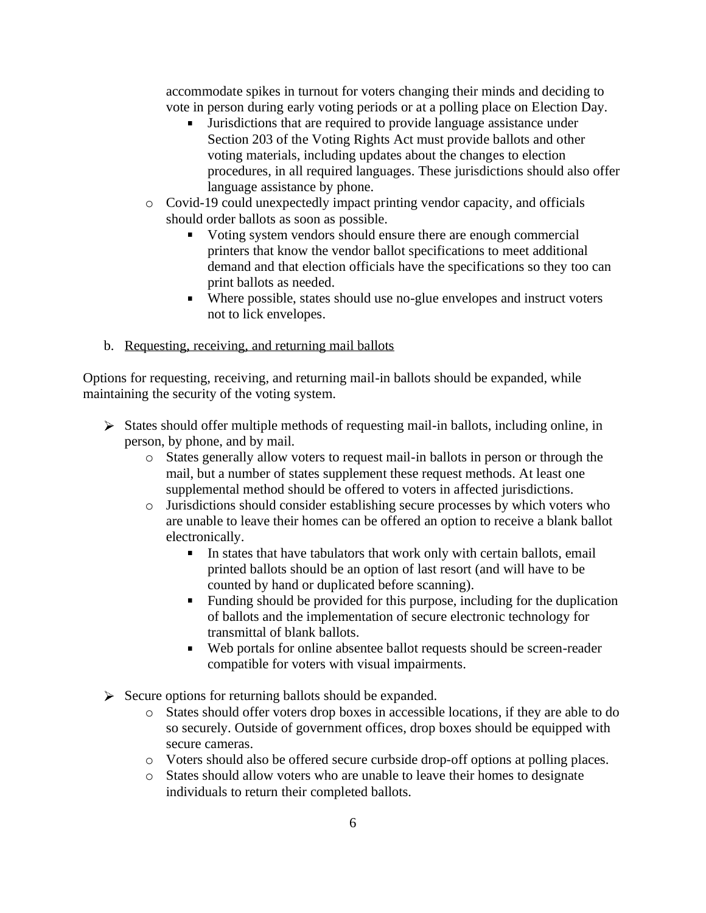accommodate spikes in turnout for voters changing their minds and deciding to vote in person during early voting periods or at a polling place on Election Day.

- Jurisdictions that are required to provide language assistance under Section 203 of the Voting Rights Act must provide ballots and other voting materials, including updates about the changes to election procedures, in all required languages. These jurisdictions should also offer language assistance by phone.
- o Covid-19 could unexpectedly impact printing vendor capacity, and officials should order ballots as soon as possible.
	- Using system vendors should ensure there are enough commercial printers that know the vendor ballot specifications to meet additional demand and that election officials have the specifications so they too can print ballots as needed.
	- Where possible, states should use no-glue envelopes and instruct voters not to lick envelopes.
- b. Requesting, receiving, and returning mail ballots

Options for requesting, receiving, and returning mail-in ballots should be expanded, while maintaining the security of the voting system.

- $\triangleright$  States should offer multiple methods of requesting mail-in ballots, including online, in person, by phone, and by mail.
	- o States generally allow voters to request mail-in ballots in person or through the mail, but a number of states supplement these request methods. At least one supplemental method should be offered to voters in affected jurisdictions.
	- o Jurisdictions should consider establishing secure processes by which voters who are unable to leave their homes can be offered an option to receive a blank ballot electronically.
		- In states that have tabulators that work only with certain ballots, email printed ballots should be an option of last resort (and will have to be counted by hand or duplicated before scanning).
		- $\mathbf{r}$  . Funding should be provided for this purpose, including for the duplication of ballots and the implementation of secure electronic technology for transmittal of blank ballots.
		- Web portals for online absentee ballot requests should be screen-reader compatible for voters with visual impairments.
- $\triangleright$  Secure options for returning ballots should be expanded.
	- o States should offer voters drop boxes in accessible locations, if they are able to do so securely. Outside of government offices, drop boxes should be equipped with secure cameras.
	- o Voters should also be offered secure curbside drop-off options at polling places.
	- o States should allow voters who are unable to leave their homes to designate individuals to return their completed ballots.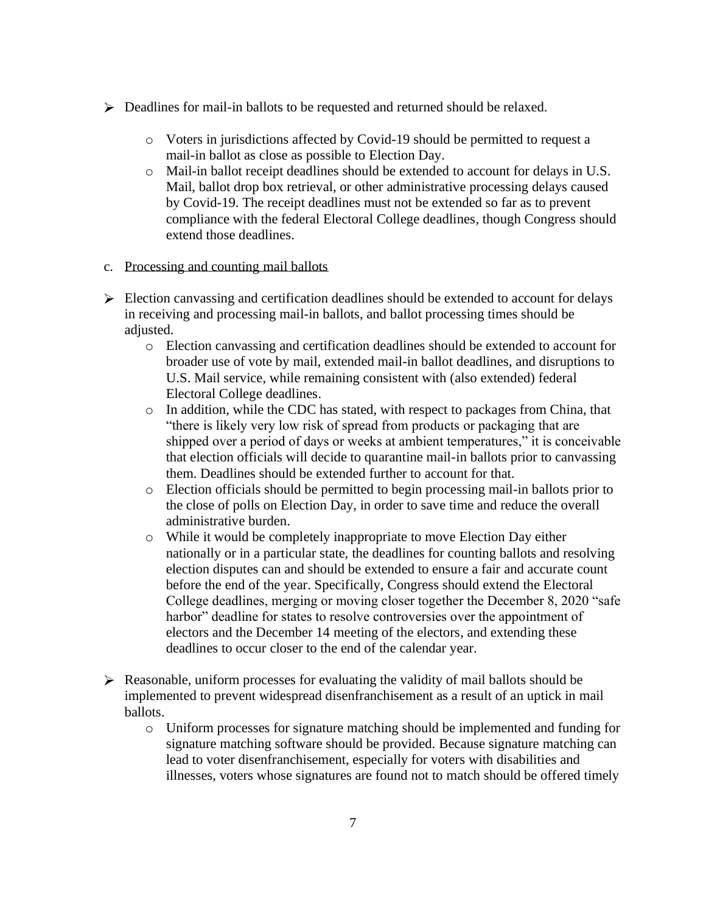- Deadlines for mail-in ballots to be requested and returned should be relaxed.
	- o Voters in jurisdictions affected by Covid-19 should be permitted to request a mail-in ballot as close as possible to Election Day.
	- o Mail-in ballot receipt deadlines should be extended to account for delays in U.S. Mail, ballot drop box retrieval, or other administrative processing delays caused by Covid-19. The receipt deadlines must not be extended so far as to prevent compliance with the federal Electoral College deadlines, though Congress should extend those deadlines.
- c. Processing and counting mail ballots
- $\triangleright$  Election canvassing and certification deadlines should be extended to account for delays in receiving and processing mail-in ballots, and ballot processing times should be adjusted.
	- o Election canvassing and certification deadlines should be extended to account for broader use of vote by mail, extended mail-in ballot deadlines, and disruptions to U.S. Mail service, while remaining consistent with (also extended) federal Electoral College deadlines.
	- $\circ$  In addition, while the CDC has stated, with respect to packages from China, that "there is likely very low risk of spread from products or packaging that are shipped over a period of days or weeks at ambient temperatures," it is conceivable that election officials will decide to quarantine mail-in ballots prior to canvassing them. Deadlines should be extended further to account for that.
	- o Election officials should be permitted to begin processing mail-in ballots prior to the close of polls on Election Day, in order to save time and reduce the overall administrative burden.
	- o While it would be completely inappropriate to move Election Day either nationally or in a particular state, the deadlines for counting ballots and resolving election disputes can and should be extended to ensure a fair and accurate count before the end of the year. Specifically, Congress should extend the Electoral College deadlines, merging or moving closer together the December 8, 2020 "safe harbor" deadline for states to resolve controversies over the appointment of electors and the December 14 meeting of the electors, and extending these deadlines to occur closer to the end of the calendar year.
- $\triangleright$  Reasonable, uniform processes for evaluating the validity of mail ballots should be implemented to prevent widespread disenfranchisement as a result of an uptick in mail ballots.
	- o Uniform processes for signature matching should be implemented and funding for signature matching software should be provided. Because signature matching can lead to voter disenfranchisement, especially for voters with disabilities and illnesses, voters whose signatures are found not to match should be offered timely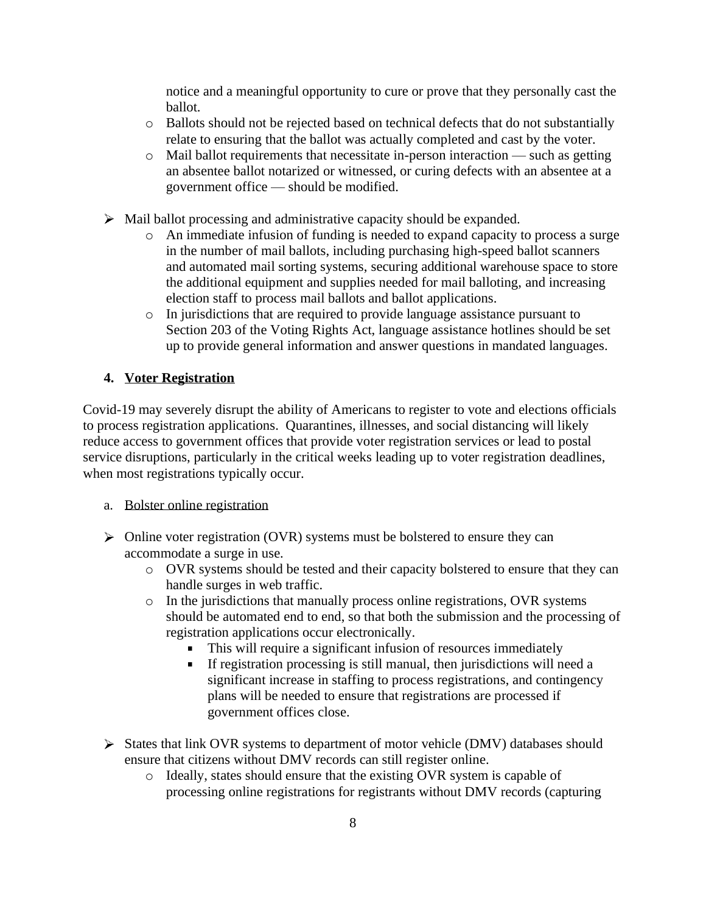notice and a meaningful opportunity to cure or prove that they personally cast the ballot.

- o Ballots should not be rejected based on technical defects that do not substantially relate to ensuring that the ballot was actually completed and cast by the voter.
- o Mail ballot requirements that necessitate in-person interaction such as getting an absentee ballot notarized or witnessed, or curing defects with an absentee at a government office — should be modified.
- $\triangleright$  Mail ballot processing and administrative capacity should be expanded.
	- o An immediate infusion of funding is needed to expand capacity to process a surge in the number of mail ballots, including purchasing high-speed ballot scanners and automated mail sorting systems, securing additional warehouse space to store the additional equipment and supplies needed for mail balloting, and increasing election staff to process mail ballots and ballot applications.
	- o In jurisdictions that are required to provide language assistance pursuant to Section 203 of the Voting Rights Act, language assistance hotlines should be set up to provide general information and answer questions in mandated languages.

## **4. Voter Registration**

Covid-19 may severely disrupt the ability of Americans to register to vote and elections officials to process registration applications. Quarantines, illnesses, and social distancing will likely reduce access to government offices that provide voter registration services or lead to postal service disruptions, particularly in the critical weeks leading up to voter registration deadlines, when most registrations typically occur.

- a. Bolster online registration
- $\triangleright$  Online voter registration (OVR) systems must be bolstered to ensure they can accommodate a surge in use.
	- o OVR systems should be tested and their capacity bolstered to ensure that they can handle surges in web traffic.
	- o In the jurisdictions that manually process online registrations, OVR systems should be automated end to end, so that both the submission and the processing of registration applications occur electronically.
		- This will require a significant infusion of resources immediately
		- If registration processing is still manual, then jurisdictions will need a significant increase in staffing to process registrations, and contingency plans will be needed to ensure that registrations are processed if government offices close.
- $\triangleright$  States that link OVR systems to department of motor vehicle (DMV) databases should ensure that citizens without DMV records can still register online.
	- o Ideally, states should ensure that the existing OVR system is capable of processing online registrations for registrants without DMV records (capturing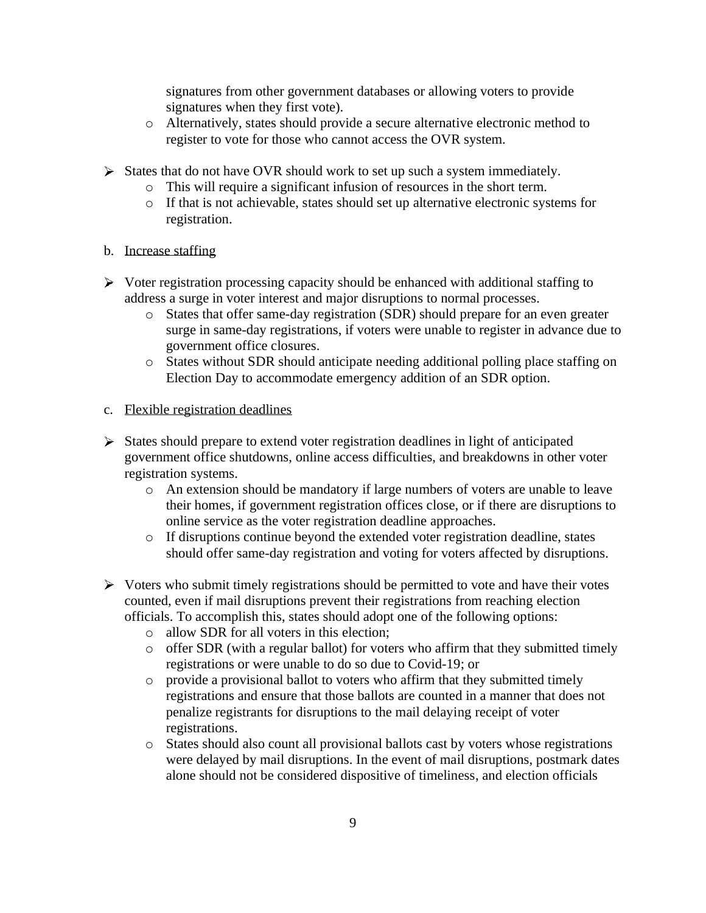signatures from other government databases or allowing voters to provide signatures when they first vote).

- o Alternatively, states should provide a secure alternative electronic method to register to vote for those who cannot access the OVR system.
- $\triangleright$  States that do not have OVR should work to set up such a system immediately.
	- o This will require a significant infusion of resources in the short term.
	- o If that is not achievable, states should set up alternative electronic systems for registration.
- b. Increase staffing
- $\triangleright$  Voter registration processing capacity should be enhanced with additional staffing to address a surge in voter interest and major disruptions to normal processes.
	- o States that offer same-day registration (SDR) should prepare for an even greater surge in same-day registrations, if voters were unable to register in advance due to government office closures.
	- o States without SDR should anticipate needing additional polling place staffing on Election Day to accommodate emergency addition of an SDR option.
- c. Flexible registration deadlines
- $\triangleright$  States should prepare to extend voter registration deadlines in light of anticipated government office shutdowns, online access difficulties, and breakdowns in other voter registration systems.
	- o An extension should be mandatory if large numbers of voters are unable to leave their homes, if government registration offices close, or if there are disruptions to online service as the voter registration deadline approaches.
	- o If disruptions continue beyond the extended voter registration deadline, states should offer same-day registration and voting for voters affected by disruptions.
- $\triangleright$  Voters who submit timely registrations should be permitted to vote and have their votes counted, even if mail disruptions prevent their registrations from reaching election officials. To accomplish this, states should adopt one of the following options:
	- o allow SDR for all voters in this election;
	- $\circ$  offer SDR (with a regular ballot) for voters who affirm that they submitted timely registrations or were unable to do so due to Covid-19; or
	- o provide a provisional ballot to voters who affirm that they submitted timely registrations and ensure that those ballots are counted in a manner that does not penalize registrants for disruptions to the mail delaying receipt of voter registrations.
	- o States should also count all provisional ballots cast by voters whose registrations were delayed by mail disruptions. In the event of mail disruptions, postmark dates alone should not be considered dispositive of timeliness, and election officials